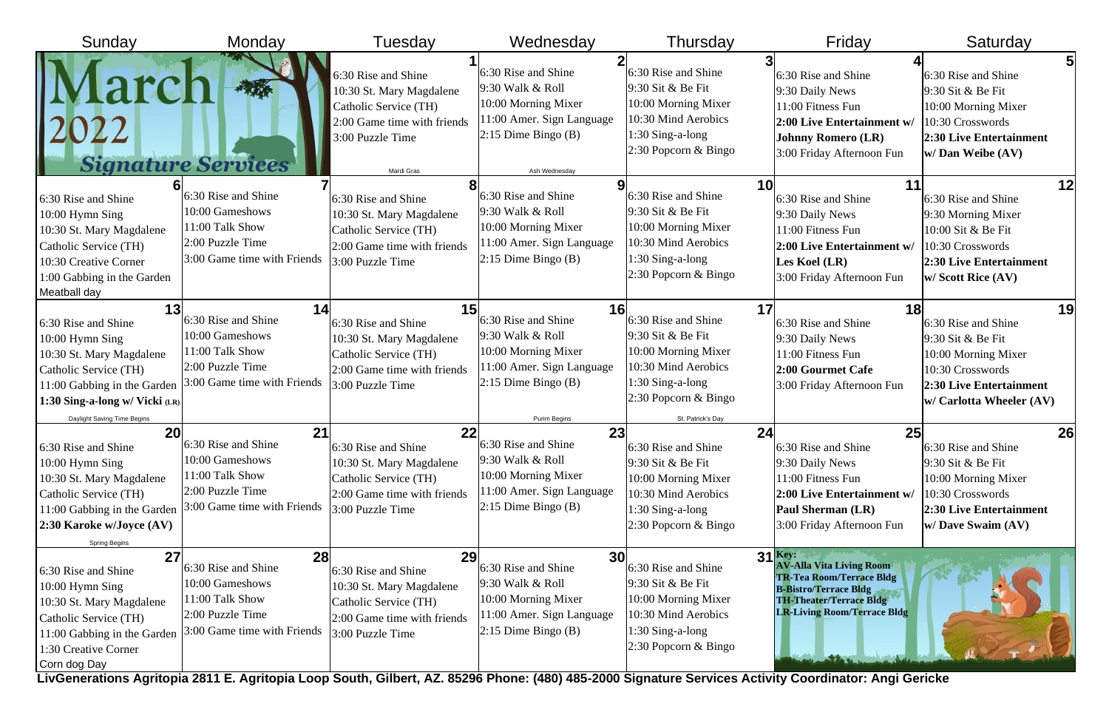| Sunday                                                                                                                                                                                            | Monday                                                                                                             | Tuesday                                                                                                                                   | Wednesday                                                                                                                                          | Thursday                                                                                                                                                | Friday                                                                                                                                                                                  | Saturday                                                                                                                                                      |
|---------------------------------------------------------------------------------------------------------------------------------------------------------------------------------------------------|--------------------------------------------------------------------------------------------------------------------|-------------------------------------------------------------------------------------------------------------------------------------------|----------------------------------------------------------------------------------------------------------------------------------------------------|---------------------------------------------------------------------------------------------------------------------------------------------------------|-----------------------------------------------------------------------------------------------------------------------------------------------------------------------------------------|---------------------------------------------------------------------------------------------------------------------------------------------------------------|
|                                                                                                                                                                                                   | <b>Signature Services</b>                                                                                          | 6:30 Rise and Shine<br>10:30 St. Mary Magdalene<br>Catholic Service (TH)<br>2:00 Game time with friends<br>3:00 Puzzle Time<br>Mardi Gras | 6:30 Rise and Shine<br>9:30 Walk & Roll<br>10:00 Morning Mixer<br>11:00 Amer. Sign Language<br>$2:15$ Dime Bingo (B)<br>Ash Wednesday              | 6:30 Rise and Shine<br>9:30 Sit & Be Fit<br>10:00 Morning Mixer<br>10:30 Mind Aerobics<br>1:30 Sing-a-long<br>2:30 Popcorn & Bingo                      | 6:30 Rise and Shine<br>9:30 Daily News<br>11:00 Fitness Fun<br>2:00 Live Entertainment w/<br><b>Johnny Romero (LR)</b><br>3:00 Friday Afternoon Fun                                     | 51<br>6:30 Rise and Shine<br>9:30 Sit & Be Fit<br>10:00 Morning Mixer<br>10:30 Crosswords<br><b>2:30 Live Entertainment</b><br>$\vert$ w/ Dan Weibe (AV)      |
| 6:30 Rise and Shine<br>10:00 Hymn Sing<br>10:30 St. Mary Magdalene<br>Catholic Service (TH)<br>10:30 Creative Corner<br>1:00 Gabbing in the Garden<br>Meatball day                                | 6:30 Rise and Shine<br>10:00 Gameshows<br>11:00 Talk Show<br>2:00 Puzzle Time<br>3:00 Game time with Friends       | 6:30 Rise and Shine<br>10:30 St. Mary Magdalene<br>Catholic Service (TH)<br>2:00 Game time with friends<br>3:00 Puzzle Time               | 6:30 Rise and Shine<br>$9:30$ Walk & Roll<br>10:00 Morning Mixer<br>11:00 Amer. Sign Language<br>$ 2:15$ Dime Bingo (B)                            | 6:30 Rise and Shine<br>$9:30$ Sit & Be Fit<br>10:00 Morning Mixer<br>10:30 Mind Aerobics<br>1:30 Sing-a-long<br>2:30 Popcorn & Bingo                    | 10<br>6:30 Rise and Shine<br>9:30 Daily News<br>11:00 Fitness Fun<br>2:00 Live Entertainment w/<br>Les Koel (LR)<br>3:00 Friday Afternoon Fun                                           | 12<br>6:30 Rise and Shine<br>9:30 Morning Mixer<br>10:00 Sit & Be Fit<br>10:30 Crosswords<br><b>2:30 Live Entertainment</b><br><b>W</b> Scott Rice (AV)       |
| 13<br>6:30 Rise and Shine<br>10:00 Hymn Sing<br>10:30 St. Mary Magdalene<br>Catholic Service (TH)<br>11:00 Gabbing in the Garden<br>1:30 Sing-a-long w/ Vicki (LR)<br>Daylight Saving Time Begins | 14<br>6:30 Rise and Shine<br>10:00 Gameshows<br>11:00 Talk Show<br>2:00 Puzzle Time<br>3:00 Game time with Friends | 15<br>6:30 Rise and Shine<br>10:30 St. Mary Magdalene<br>Catholic Service (TH)<br>2:00 Game time with friends<br>3:00 Puzzle Time         | <b>16</b><br>6:30 Rise and Shine<br>9:30 Walk & Roll<br>10:00 Morning Mixer<br>11:00 Amer. Sign Language<br>$ 2:15$ Dime Bingo (B)<br>Purim Begins | 6:30 Rise and Shine<br>9:30 Sit & Be Fit<br>10:00 Morning Mixer<br>10:30 Mind Aerobics<br>1:30 Sing-a-long<br>2:30 Popcorn & Bingo<br>St. Patrick's Day | 17<br>6:30 Rise and Shine<br>9:30 Daily News<br>11:00 Fitness Fun<br>2:00 Gourmet Cafe<br>3:00 Friday Afternoon Fun                                                                     | 19<br>6:30 Rise and Shine<br>9:30 Sit & Be Fit<br>10:00 Morning Mixer<br>10:30 Crosswords<br><b>2:30 Live Entertainment</b><br><b>W</b> Carlotta Wheeler (AV) |
| <b>20</b><br>6:30 Rise and Shine<br>10:00 Hymn Sing<br>10:30 St. Mary Magdalene<br>Catholic Service (TH)<br>11:00 Gabbing in the Garden<br>2:30 Karoke w/Joyce (AV)<br><b>Spring Begins</b>       | 21<br>6:30 Rise and Shine<br>10:00 Gameshows<br>11:00 Talk Show<br>2:00 Puzzle Time<br>3:00 Game time with Friends | 22<br>6:30 Rise and Shine<br>10:30 St. Mary Magdalene<br>Catholic Service (TH)<br>2:00 Game time with friends<br>3:00 Puzzle Time         | 23<br>6:30 Rise and Shine<br>9:30 Walk & Roll<br>10:00 Morning Mixer<br>11:00 Amer. Sign Language<br>$ 2:15$ Dime Bingo (B)                        | 6:30 Rise and Shine<br>9:30 Sit & Be Fit<br>10:00 Morning Mixer<br>10:30 Mind Aerobics<br>$1:30$ Sing-a-long<br>2:30 Popcorn & Bingo                    | 24<br><b>25</b><br>6:30 Rise and Shine<br>9:30 Daily News<br>11:00 Fitness Fun<br>2:00 Live Entertainment w/<br>Paul Sherman (LR)<br>3:00 Friday Afternoon Fun                          | 26<br>6:30 Rise and Shine<br>9:30 Sit & Be Fit<br>10:00 Morning Mixer<br>10:30 Crosswords<br>2:30 Live Entertainment<br><b>W</b> Dave Swaim (AV)              |
| 27<br>6:30 Rise and Shine<br>10:00 Hymn Sing<br>10:30 St. Mary Magdalene<br>Catholic Service (TH)<br>11:00 Gabbing in the Garden<br>1:30 Creative Corner<br>Corn dog Day                          | 28<br>6:30 Rise and Shine<br>10:00 Gameshows<br>11:00 Talk Show<br>2:00 Puzzle Time<br>3:00 Game time with Friends | 29<br>6:30 Rise and Shine<br>10:30 St. Mary Magdalene<br>Catholic Service (TH)<br>2:00 Game time with friends<br>3:00 Puzzle Time         | <b>30</b><br>6:30 Rise and Shine<br>$9:30$ Walk & Roll<br>10:00 Morning Mixer<br>11:00 Amer. Sign Language<br>$2:15$ Dime Bingo (B)                | 6:30 Rise and Shine<br>9:30 Sit & Be Fit<br>10:00 Morning Mixer<br>10:30 Mind Aerobics<br>1:30 Sing-a-long<br>2:30 Popcorn & Bingo                      | $31$ Key:<br><b>AV-Alla Vita Living Room</b><br><b>TR-Tea Room/Terrace Bldg</b><br><b>B-Bistro/Terrace Bldg</b><br><b>TH-Theater/Terrace Bldg</b><br><b>LR-Living Room/Terrace Bldg</b> |                                                                                                                                                               |

**LivGenerations Agritopia 2811 E. Agritopia Loop South, Gilbert, AZ. 85296 Phone: (480) 485-2000 Signature Services Activity Coordinator: Angi Gericke**